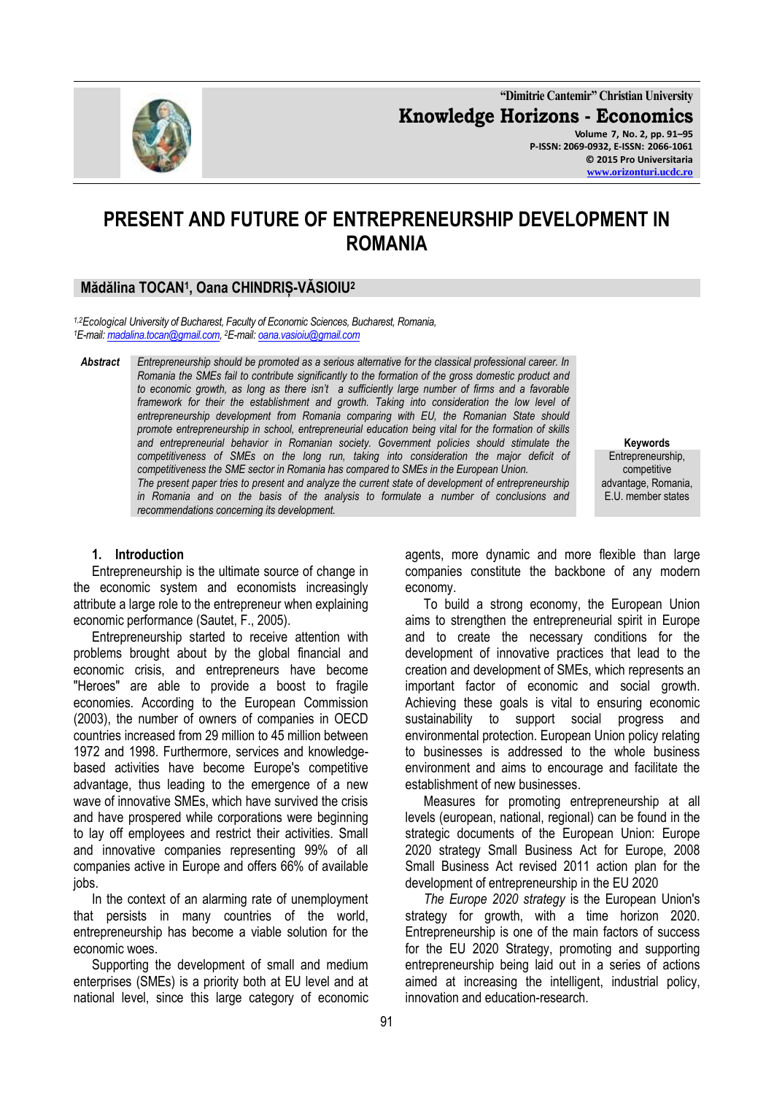**"Dimitrie Cantemir" Christian University Knowledge Horizons - Economics Volume 7, No. 2, pp. 91–95 P-ISSN: 2069-0932, E-ISSN: 2066-1061 © 2015 Pro Universitaria**

# **PRESENT AND FUTURE OF ENTREPRENEURSHIP DEVELOPMENT IN ROMANIA**

## **Mădălina TOCAN<sup>1</sup> , Oana CHINDRIȘ-VĂSIOIU<sup>2</sup>**

*1,2Ecological University of Bucharest, Faculty of Economic Sciences, Bucharest, Romania, <sup>1</sup>E-mail[: madalina.tocan@gmail.com,](mailto:madalina.tocan@gmail.com)  <sup>2</sup>E-mail[: oana.vasioiu@gmail.com](mailto:oana.vasioiu@gmail.com)*

*Abstract Entrepreneurship should be promoted as a serious alternative for the classical professional career. In Romania the SMEs fail to contribute significantly to the formation of the gross domestic product and to economic growth, as long as there isn't a sufficiently large number of firms and a favorable*  framework for their the establishment and growth. Taking into consideration the low level of *entrepreneurship development from Romania comparing with EU, the Romanian State should promote entrepreneurship in school, entrepreneurial education being vital for the formation of skills and entrepreneurial behavior in Romanian society. Government policies should stimulate the competitiveness of SMEs on the long run, taking into consideration the major deficit of competitiveness the SME sector in Romania has compared to SMEs in the European Union. The present paper tries to present and analyze the current state of development of entrepreneurship in Romania and on the basis of the analysis to formulate a number of conclusions and recommendations concerning its development.*

#### **Keywords** Entrepreneurship, competitive advantage, Romania, E.U. member states

#### **1. Introduction**

Entrepreneurship is the ultimate source of change in the economic system and economists increasingly attribute a large role to the entrepreneur when explaining economic performance (Sautet, F., 2005).

Entrepreneurship started to receive attention with problems brought about by the global financial and economic crisis, and entrepreneurs have become "Heroes" are able to provide a boost to fragile economies. According to the European Commission (2003), the number of owners of companies in OECD countries increased from 29 million to 45 million between 1972 and 1998. Furthermore, services and knowledgebased activities have become Europe's competitive advantage, thus leading to the emergence of a new wave of innovative SMEs, which have survived the crisis and have prospered while corporations were beginning to lay off employees and restrict their activities. Small and innovative companies representing 99% of all companies active in Europe and offers 66% of available jobs.

In the context of an alarming rate of unemployment that persists in many countries of the world, entrepreneurship has become a viable solution for the economic woes.

Supporting the development of small and medium enterprises (SMEs) is a priority both at EU level and at national level, since this large category of economic agents, more dynamic and more flexible than large companies constitute the backbone of any modern economy.

To build a strong economy, the European Union aims to strengthen the entrepreneurial spirit in Europe and to create the necessary conditions for the development of innovative practices that lead to the creation and development of SMEs, which represents an important factor of economic and social growth. Achieving these goals is vital to ensuring economic sustainability to support social progress and environmental protection. European Union policy relating to businesses is addressed to the whole business environment and aims to encourage and facilitate the establishment of new businesses.

Measures for promoting entrepreneurship at all levels (european, national, regional) can be found in the strategic documents of the European Union: Europe 2020 strategy Small Business Act for Europe, 2008 Small Business Act revised 2011 action plan for the development of entrepreneurship in the EU 2020

*The Europe 2020 strategy* is the European Union's strategy for growth, with a time horizon 2020. Entrepreneurship is one of the main factors of success for the EU 2020 Strategy, promoting and supporting entrepreneurship being laid out in a series of actions aimed at increasing the intelligent, industrial policy, innovation and education-research.

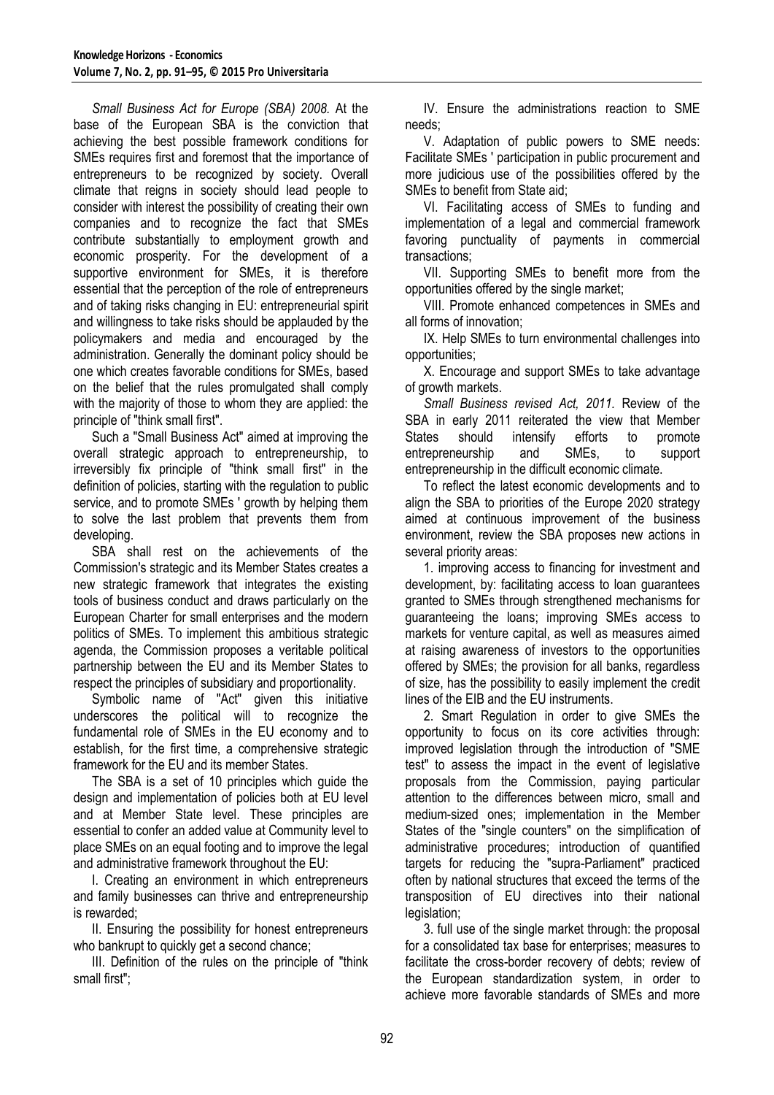*Small Business Act for Europe (SBA) 2008.* At the base of the European SBA is the conviction that achieving the best possible framework conditions for SMEs requires first and foremost that the importance of entrepreneurs to be recognized by society. Overall climate that reigns in society should lead people to consider with interest the possibility of creating their own companies and to recognize the fact that SMEs contribute substantially to employment growth and economic prosperity. For the development of a supportive environment for SMEs, it is therefore essential that the perception of the role of entrepreneurs and of taking risks changing in EU: entrepreneurial spirit and willingness to take risks should be applauded by the policymakers and media and encouraged by the administration. Generally the dominant policy should be one which creates favorable conditions for SMEs, based on the belief that the rules promulgated shall comply with the majority of those to whom they are applied: the principle of "think small first".

Such a "Small Business Act" aimed at improving the overall strategic approach to entrepreneurship, to irreversibly fix principle of "think small first" in the definition of policies, starting with the regulation to public service, and to promote SMEs ' growth by helping them to solve the last problem that prevents them from developing.

SBA shall rest on the achievements of the Commission's strategic and its Member States creates a new strategic framework that integrates the existing tools of business conduct and draws particularly on the European Charter for small enterprises and the modern politics of SMEs. To implement this ambitious strategic agenda, the Commission proposes a veritable political partnership between the EU and its Member States to respect the principles of subsidiary and proportionality.

Symbolic name of "Act" given this initiative underscores the political will to recognize the fundamental role of SMEs in the EU economy and to establish, for the first time, a comprehensive strategic framework for the EU and its member States.

The SBA is a set of 10 principles which guide the design and implementation of policies both at EU level and at Member State level. These principles are essential to confer an added value at Community level to place SMEs on an equal footing and to improve the legal and administrative framework throughout the EU:

I. Creating an environment in which entrepreneurs and family businesses can thrive and entrepreneurship is rewarded;

II. Ensuring the possibility for honest entrepreneurs who bankrupt to quickly get a second chance;

III. Definition of the rules on the principle of "think small first";

IV. Ensure the administrations reaction to SME needs;

V. Adaptation of public powers to SME needs: Facilitate SMEs ' participation in public procurement and more judicious use of the possibilities offered by the SMEs to benefit from State aid;

VI. Facilitating access of SMEs to funding and implementation of a legal and commercial framework favoring punctuality of payments in commercial transactions;

VII. Supporting SMEs to benefit more from the opportunities offered by the single market;

VIII. Promote enhanced competences in SMEs and all forms of innovation;

IX. Help SMEs to turn environmental challenges into opportunities;

X. Encourage and support SMEs to take advantage of growth markets.

*Small Business revised Act, 2011.* Review of the SBA in early 2011 reiterated the view that Member States should intensify efforts to promote entrepreneurship and SMEs, to support entrepreneurship in the difficult economic climate.

To reflect the latest economic developments and to align the SBA to priorities of the Europe 2020 strategy aimed at continuous improvement of the business environment, review the SBA proposes new actions in several priority areas:

1. improving access to financing for investment and development, by: facilitating access to loan guarantees granted to SMEs through strengthened mechanisms for guaranteeing the loans; improving SMEs access to markets for venture capital, as well as measures aimed at raising awareness of investors to the opportunities offered by SMEs; the provision for all banks, regardless of size, has the possibility to easily implement the credit lines of the EIB and the EU instruments.

2. Smart Regulation in order to give SMEs the opportunity to focus on its core activities through: improved legislation through the introduction of "SME test" to assess the impact in the event of legislative proposals from the Commission, paying particular attention to the differences between micro, small and medium-sized ones; implementation in the Member States of the "single counters" on the simplification of administrative procedures; introduction of quantified targets for reducing the "supra-Parliament" practiced often by national structures that exceed the terms of the transposition of EU directives into their national legislation;

3. full use of the single market through: the proposal for a consolidated tax base for enterprises; measures to facilitate the cross-border recovery of debts; review of the European standardization system, in order to achieve more favorable standards of SMEs and more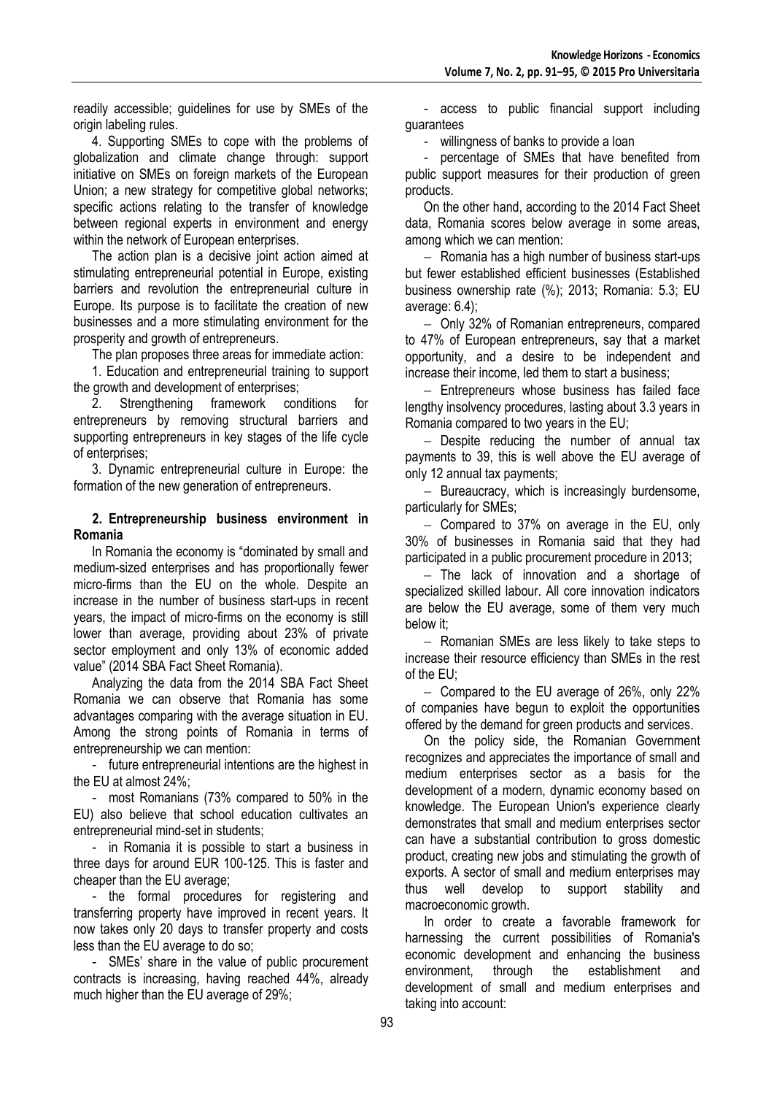readily accessible; guidelines for use by SMEs of the origin labeling rules.

4. Supporting SMEs to cope with the problems of globalization and climate change through: support initiative on SMEs on foreign markets of the European Union; a new strategy for competitive global networks; specific actions relating to the transfer of knowledge between regional experts in environment and energy within the network of European enterprises.

The action plan is a decisive joint action aimed at stimulating entrepreneurial potential in Europe, existing barriers and revolution the entrepreneurial culture in Europe. Its purpose is to facilitate the creation of new businesses and a more stimulating environment for the prosperity and growth of entrepreneurs.

The plan proposes three areas for immediate action:

1. Education and entrepreneurial training to support the growth and development of enterprises;

2. Strengthening framework conditions for entrepreneurs by removing structural barriers and supporting entrepreneurs in key stages of the life cycle of enterprises;

3. Dynamic entrepreneurial culture in Europe: the formation of the new generation of entrepreneurs.

#### **2. Entrepreneurship business environment in Romania**

In Romania the economy is "dominated by small and medium-sized enterprises and has proportionally fewer micro-firms than the EU on the whole. Despite an increase in the number of business start-ups in recent years, the impact of micro-firms on the economy is still lower than average, providing about 23% of private sector employment and only 13% of economic added value" (2014 SBA Fact Sheet Romania).

Analyzing the data from the 2014 SBA Fact Sheet Romania we can observe that Romania has some advantages comparing with the average situation in EU. Among the strong points of Romania in terms of entrepreneurship we can mention:

- future entrepreneurial intentions are the highest in the EU at almost 24%;

- most Romanians (73% compared to 50% in the EU) also believe that school education cultivates an entrepreneurial mind-set in students;

- in Romania it is possible to start a business in three days for around EUR 100-125. This is faster and cheaper than the EU average;

- the formal procedures for registering and transferring property have improved in recent years. It now takes only 20 days to transfer property and costs less than the EU average to do so;

- SMEs' share in the value of public procurement contracts is increasing, having reached 44%, already much higher than the EU average of 29%;

- access to public financial support including guarantees

- willingness of banks to provide a loan

percentage of SMEs that have benefited from public support measures for their production of green products.

On the other hand, according to the 2014 Fact Sheet data, Romania scores below average in some areas, among which we can mention:

- Romania has a high number of business start-ups but fewer established efficient businesses (Established business ownership rate (%); 2013; Romania: 5.3; EU average: 6.4);

 Only 32% of Romanian entrepreneurs, compared to 47% of European entrepreneurs, say that a market opportunity, and a desire to be independent and increase their income, led them to start a business;

- Entrepreneurs whose business has failed face lengthy insolvency procedures, lasting about 3.3 years in Romania compared to two years in the EU;

 $-$  Despite reducing the number of annual tax payments to 39, this is well above the EU average of only 12 annual tax payments;

- Bureaucracy, which is increasingly burdensome, particularly for SMEs;

 $-$  Compared to 37% on average in the EU, only 30% of businesses in Romania said that they had participated in a public procurement procedure in 2013;

 $-$  The lack of innovation and a shortage of specialized skilled labour. All core innovation indicators are below the EU average, some of them very much below it;

- Romanian SMEs are less likely to take steps to increase their resource efficiency than SMEs in the rest of the EU;

 $-$  Compared to the EU average of 26%, only 22% of companies have begun to exploit the opportunities offered by the demand for green products and services.

On the policy side, the Romanian Government recognizes and appreciates the importance of small and medium enterprises sector as a basis for the development of a modern, dynamic economy based on knowledge. The European Union's experience clearly demonstrates that small and medium enterprises sector can have a substantial contribution to gross domestic product, creating new jobs and stimulating the growth of exports. A sector of small and medium enterprises may thus well develop to support stability and macroeconomic growth.

In order to create a favorable framework for harnessing the current possibilities of Romania's economic development and enhancing the business environment, through the establishment and development of small and medium enterprises and taking into account: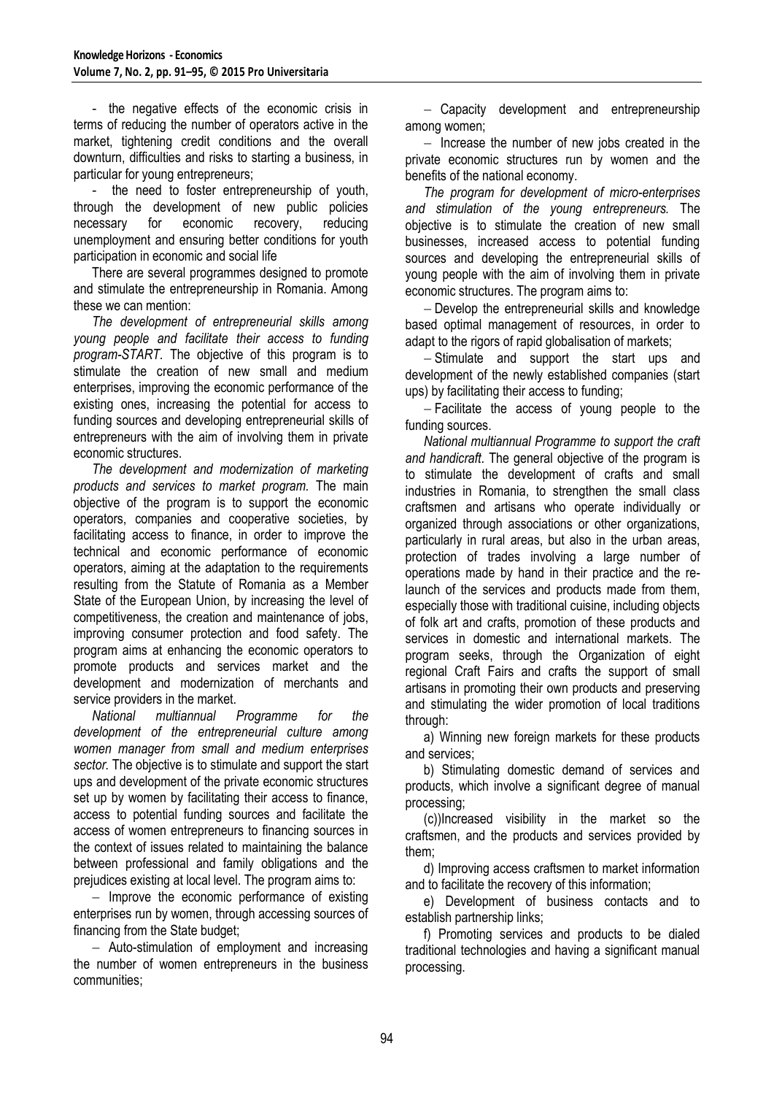- the negative effects of the economic crisis in terms of reducing the number of operators active in the market, tightening credit conditions and the overall downturn, difficulties and risks to starting a business, in particular for young entrepreneurs;

- the need to foster entrepreneurship of youth, through the development of new public policies necessary for economic recovery, reducing unemployment and ensuring better conditions for youth participation in economic and social life

There are several programmes designed to promote and stimulate the entrepreneurship in Romania. Among these we can mention:

*The development of entrepreneurial skills among young people and facilitate their access to funding program-START*. The objective of this program is to stimulate the creation of new small and medium enterprises, improving the economic performance of the existing ones, increasing the potential for access to funding sources and developing entrepreneurial skills of entrepreneurs with the aim of involving them in private economic structures.

*The development and modernization of marketing products and services to market program.* The main objective of the program is to support the economic operators, companies and cooperative societies, by facilitating access to finance, in order to improve the technical and economic performance of economic operators, aiming at the adaptation to the requirements resulting from the Statute of Romania as a Member State of the European Union, by increasing the level of competitiveness, the creation and maintenance of jobs, improving consumer protection and food safety. The program aims at enhancing the economic operators to promote products and services market and the development and modernization of merchants and service providers in the market.

*National multiannual Programme for the development of the entrepreneurial culture among women manager from small and medium enterprises sector.* The objective is to stimulate and support the start ups and development of the private economic structures set up by women by facilitating their access to finance, access to potential funding sources and facilitate the access of women entrepreneurs to financing sources in the context of issues related to maintaining the balance between professional and family obligations and the prejudices existing at local level. The program aims to:

- Improve the economic performance of existing enterprises run by women, through accessing sources of financing from the State budget;

 Auto-stimulation of employment and increasing the number of women entrepreneurs in the business communities;

- Capacity development and entrepreneurship among women;

 $-$  Increase the number of new jobs created in the private economic structures run by women and the benefits of the national economy.

*The program for development of micro-enterprises and stimulation of the young entrepreneurs.* The objective is to stimulate the creation of new small businesses, increased access to potential funding sources and developing the entrepreneurial skills of young people with the aim of involving them in private economic structures. The program aims to:

 Develop the entrepreneurial skills and knowledge based optimal management of resources, in order to adapt to the rigors of rapid globalisation of markets;

- Stimulate and support the start ups and development of the newly established companies (start ups) by facilitating their access to funding;

 Facilitate the access of young people to the funding sources.

*National multiannual Programme to support the craft and handicraft*. The general objective of the program is to stimulate the development of crafts and small industries in Romania, to strengthen the small class craftsmen and artisans who operate individually or organized through associations or other organizations, particularly in rural areas, but also in the urban areas, protection of trades involving a large number of operations made by hand in their practice and the relaunch of the services and products made from them, especially those with traditional cuisine, including objects of folk art and crafts, promotion of these products and services in domestic and international markets. The program seeks, through the Organization of eight regional Craft Fairs and crafts the support of small artisans in promoting their own products and preserving and stimulating the wider promotion of local traditions through:

a) Winning new foreign markets for these products and services;

b) Stimulating domestic demand of services and products, which involve a significant degree of manual processing;

(c))Increased visibility in the market so the craftsmen, and the products and services provided by them;

d) Improving access craftsmen to market information and to facilitate the recovery of this information;

e) Development of business contacts and to establish partnership links;

f) Promoting services and products to be dialed traditional technologies and having a significant manual processing.